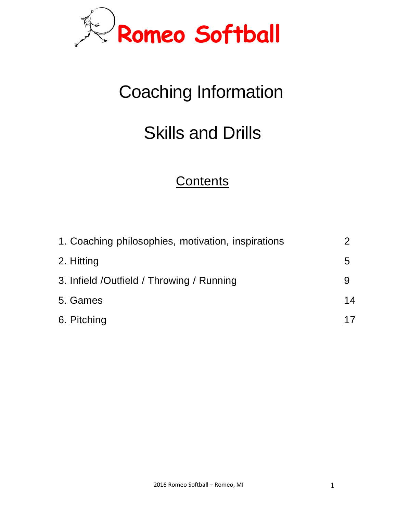

# Coaching Information

## Skills and Drills

## **Contents**

| 1. Coaching philosophies, motivation, inspirations |    |
|----------------------------------------------------|----|
| 2. Hitting                                         | 5  |
| 3. Infield /Outfield / Throwing / Running          | 9  |
| 5. Games                                           | 14 |
| 6. Pitching                                        | 17 |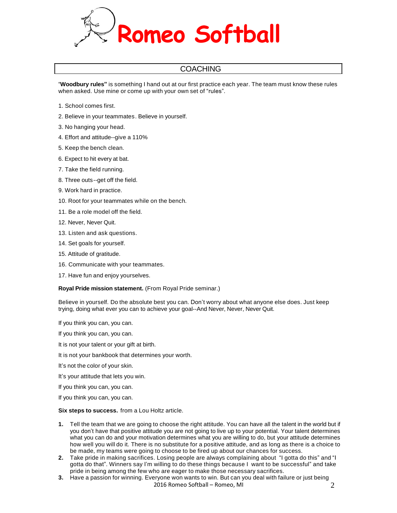

#### **COACHING**

"**Woodbury rules"** is something I hand out at our first practice each year. The team must know these rules when asked. Use mine or come up with your own set of "rules".

- 1. School comes first.
- 2. Believe in your teammates. Believe in yourself.
- 3. No hanging your head.
- 4. Effort and attitude--give a 110%
- 5. Keep the bench clean.
- 6. Expect to hit every at bat.
- 7. Take the field running.
- 8. Three outs--get off the field.
- 9. Work hard in practice.
- 10. Root for your teammates while on the bench.
- 11. Be a role model off the field.
- 12. Never, Never Quit.
- 13. Listen and ask questions.
- 14. Set goals for yourself.
- 15. Attitude of gratitude.
- 16. Communicate with your teammates.
- 17. Have fun and enjoy yourselves.

**Royal Pride mission statement.** (From Royal Pride seminar.)

Believe in yourself. Do the absolute best you can. Don't worry about what anyone else does. Just keep trying, doing what ever you can to achieve your goal--And Never, Never, Never Quit.

If you think you can, you can.

If you think you can, you can.

- It is not your talent or your gift at birth.
- It is not your bankbook that determines your worth.
- It's not the color of your skin.

It's your attitude that lets you win.

- If you think you can, you can.
- If you think you can, you can.

#### **Six steps to success.** from a Lou Holtz article.

- **1.** Tell the team that we are going to choose the right attitude. You can have all the talent in the world but if you don't have that positive attitude you are not going to live up to your potential. Your talent determines what you can do and your motivation determines what you are willing to do, but your attitude determines how well you will do it. There is no substitute for a positive attitude, and as long as there is a choice to be made, my teams were going to choose to be fired up about our chances for success.
- **2.** Take pride in making sacrifices. Losing people are always complaining about "I gotta do this" and "I gotta do that". Winners say I'm willing to do these things because I want to be successful" and take pride in being among the few who are eager to make those necessary sacrifices.
- 2016 Romeo Softball Romeo, MI **3.** Have a passion for winning. Everyone won wants to win. But can you deal with failure or just being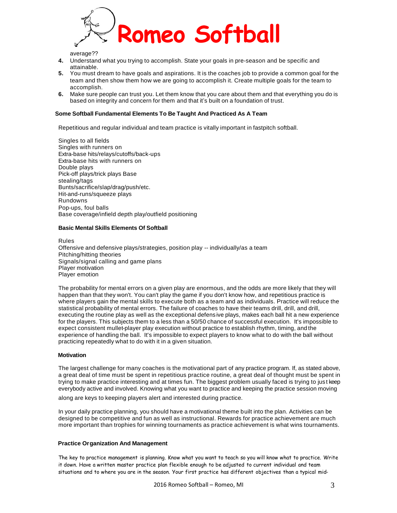

average??

- **4.** Understand what you trying to accomplish. State your goals in pre-season and be specific and attainable.
- **5.** You must dream to have goals and aspirations. It is the coaches job to provide a common goal for the team and then show them how we are going to accomplish it. Create multiple goals for the team to accomplish.
- **6.** Make sure people can trust you. Let them know that you care about them and that everything you do is based on integrity and concern for them and that it's built on a foundation of trust.

#### **Some Softball Fundamental Elements To Be Taught And Practiced As A Team**

Repetitious and regular individual and team practice is vitally important in fastpitch softball.

Singles to all fields Singles with runners on Extra-base hits/relays/cutoffs/back-ups Extra-base hits with runners on Double plays Pick-off plays/trick plays Base stealing/tags Bunts/sacrifice/slap/drag/push/etc. Hit-and-runs/squeeze plays Rundowns Pop-ups, foul balls Base coverage/infield depth play/outfield positioning

#### **Basic Mental Skills Elements Of Softball**

Rules Offensive and defensive plays/strategies, position play -- individually/as a team Pitching/hitting theories Signals/signal calling and game plans Player motivation Player emotion

The probability for mental errors on a given play are enormous, and the odds are more likely that they will happen than that they won't. You can't play the game if you don't know how, and repetitious practice is where players gain the mental skills to execute both as a team and as individuals. Practice will reduce the statistical probability of mental errors. The failure of coaches to have their teams drill, drill, and drill, executing the routine play as well as the exceptional defensive plays, makes each ball hit a new experience for the players. This subjects them to a less than a 50/50 chance of successful execution. It's impossible to expect consistent mullet-player play execution without practice to establish rhythm, timing, and the experience of handling the ball. It's impossible to expect players to know what to do with the ball without practicing repeatedly what to do with it in a given situation.

#### **Motivation**

The largest challenge for many coaches is the motivational part of any practice program. If, as stated above, a great deal of time must be spent in repetitious practice routine, a great deal of thought must be spent in trying to make practice interesting and at times fun. The biggest problem usually faced is trying to just keep everybody active and involved. Knowing what you want to practice and keeping the practice session moving

along are keys to keeping players alert and interested during practice.

In your daily practice planning, you should have a motivational theme built into the plan. Activities can be designed to be competitive and fun as well as instructional. Rewards for practice achievement are much more important than trophies for winning tournaments as practice achievement is what wins tournaments.

#### **Practice Organization And Management**

The key to practice management is planning. Know what you want to teach so you will know what to practice. Write it down. Have a written master practice plan flexible enough to be adjusted to current individual and team situations and to where you are in the season. Your first practice has different objectives than a typical mid-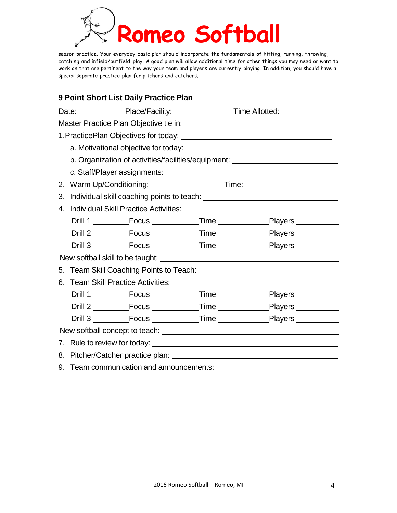

season practice. Your everyday basic plan should incorporate the fundamentals of hitting, running, throwing, catching and infield/outfield play. A good plan will allow additional time for other things you may need or want to work on that are pertinent to the way your team and players are currently playing. In addition, you should have a special separate practice plan for pitchers and catchers.

### **9 Point Short List Daily Practice Plan**

|    |                                                                                                                                                                                                                                |  |  | Date: _____________Place/Facility: _________________Time Allotted: _____________       |  |  |
|----|--------------------------------------------------------------------------------------------------------------------------------------------------------------------------------------------------------------------------------|--|--|----------------------------------------------------------------------------------------|--|--|
|    |                                                                                                                                                                                                                                |  |  |                                                                                        |  |  |
|    |                                                                                                                                                                                                                                |  |  |                                                                                        |  |  |
|    |                                                                                                                                                                                                                                |  |  |                                                                                        |  |  |
|    | b. Organization of activities/facilities/equipment: ____________________________                                                                                                                                               |  |  |                                                                                        |  |  |
|    |                                                                                                                                                                                                                                |  |  |                                                                                        |  |  |
|    |                                                                                                                                                                                                                                |  |  |                                                                                        |  |  |
|    | 3. Individual skill coaching points to teach: __________________________________                                                                                                                                               |  |  |                                                                                        |  |  |
| 4. | <b>Individual Skill Practice Activities:</b>                                                                                                                                                                                   |  |  |                                                                                        |  |  |
|    |                                                                                                                                                                                                                                |  |  |                                                                                        |  |  |
|    |                                                                                                                                                                                                                                |  |  |                                                                                        |  |  |
|    |                                                                                                                                                                                                                                |  |  |                                                                                        |  |  |
|    |                                                                                                                                                                                                                                |  |  |                                                                                        |  |  |
|    | 5. Team Skill Coaching Points to Teach: \\concontent \\concontent{\sigma_{\sigma_{\sigma_{\sigma_{\sigma_{\sigma_{\sigma_{\sigma_{\sigma_{\sigma_{\sigma_{\sigma_{\sigma_{\sigma_{\sigma_{\sigma_{\sigma_{\sigma_{\sigma_{\sig |  |  |                                                                                        |  |  |
|    | 6. Team Skill Practice Activities:                                                                                                                                                                                             |  |  |                                                                                        |  |  |
|    |                                                                                                                                                                                                                                |  |  |                                                                                        |  |  |
|    |                                                                                                                                                                                                                                |  |  |                                                                                        |  |  |
|    |                                                                                                                                                                                                                                |  |  | Drill 3 ____________Focus _______________Time ____________________Players ____________ |  |  |
|    |                                                                                                                                                                                                                                |  |  |                                                                                        |  |  |
|    |                                                                                                                                                                                                                                |  |  |                                                                                        |  |  |
|    |                                                                                                                                                                                                                                |  |  |                                                                                        |  |  |
|    |                                                                                                                                                                                                                                |  |  |                                                                                        |  |  |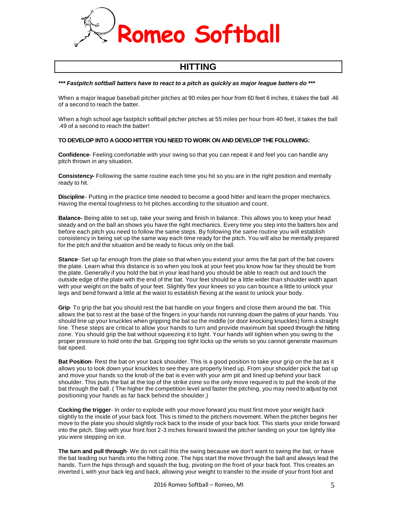

## **HITTING**

#### *\*\*\* Fastpitch softball batters have to react to a pitch as quickly as major league batters do \*\*\**

When a major league baseball pitcher pitches at 90 miles per hour from 60 feet 6 inches, it takes the ball .46 of a second to reach the batter.

When a high school age fastpitch softball pitcher pitches at 55 miles per hour from 40 feet, it takes the ball .49 of a second to reach the batter!

#### **TO DEVELOP INTO A GOOD HITTER YOU NEED TO WORK ON AND DEVELOP THE FOLLOWING:**

**Confidence**- Feeling comfortable with your swing so that you can repeat it and feel you can handle any pitch thrown in any situation.

**Consistency-** Following the same routine each time you hit so you are in the right position and mentally ready to hit.

**Discipline**- Putting in the practice time needed to become a good hitter and learn the proper mechanics. Having the mental toughness to hit pitches according to the situation and count.

**Balance-** Being able to set up, take your swing and finish in balance. This allows you to keep your head steady and on the ball an shows you have the right mechanics. Every time you step into the batters box and before each pitch you need to follow the same steps. By following the same routine you will establish consistency in being set up the same way each time ready for the pitch. You will also be mentally prepared for the pitch and the situation and be ready to focus only on the ball.

**Stance**- Set up far enough from the plate so that when you extend your arms the fat part of the bat covers the plate. Learn what this distance is so when you look at your feet you know how far they should be from the plate. Generally if you hold the bat in your lead hand you should be able to reach out and touch the outside edge of the plate with the end of the bat. Your feet should be a little wider than shoulder width apart with your weight on the balls of your feet. Slightly flex your knees so you can bounce a little to unlock your legs and bend forward a little at the waist to establish flexing at the waist to unlock your body.

**Grip**- To grip the bat you should rest the bat handle on your fingers and close them around the bat. This allows the bat to rest at the base of the fingers in your hands not running down the palms of your hands. You should line up your knuckles when gripping the bat so the middle (or door knocking knuckles) form a straight line. These steps are critical to allow your hands to turn and provide maximum bat speed through the hitting zone. You should grip the bat without squeezing it to tight. Your hands will tighten when you swing to the proper pressure to hold onto the bat. Gripping too tight locks up the wrists so you cannot generate maximum bat speed.

**Bat Position**- Rest the bat on your back shoulder. This is a good position to take your grip on the bat as it allows you to look down your knuckles to see they are properly lined up. From your shoulder pick the bat up and move your hands so the knob of the bat is even with your arm pit and lined up behind your back shoulder. This puts the bat at the top of the strike zone so the only move required is to pull the knob of the bat through the ball. ( The higher the competition level and faster the pitching, you may need to adjust by not positioning your hands as far back behind the shoulder.)

**Cocking the trigger**- In order to explode with your move forward you must first move your weight back slightly to the inside of your back foot. This is timed to the pitchers movement. When the pitcher begins her move to the plate you should slightly rock back to the inside of your back foot. This starts your stride forward into the pitch. Step with your front foot 2-3 inches forward toward the pitcher landing on your toe lightly like you were stepping on ice.

**The turn and pull through**- We do not call this the swing because we don't want to swing the bat, or have the bat leading our hands into the hitting zone. The hips start the move through the ball and always lead the hands. Turn the hips through and squash the bug, pivoting on the front of your back foot. This creates an inverted L with your back leg and back, allowing your weight to transfer to the inside of your front foot and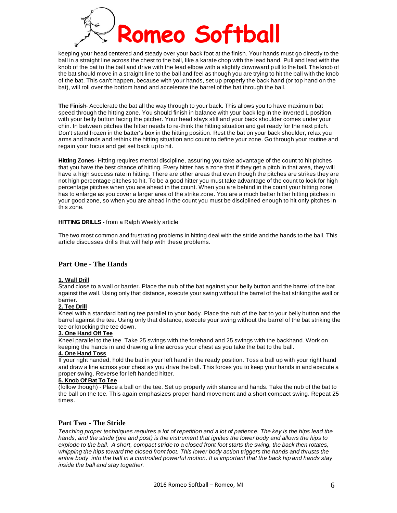

keeping your head centered and steady over your back foot at the finish. Your hands must go directly to the ball in a straight line across the chest to the ball, like a karate chop with the lead hand. Pull and lead with the knob of the bat to the ball and drive with the lead elbow with a slightly downward pull to the ball. The knob of the bat should move in a straight line to the ball and feel as though you are trying to hit the ball with the knob of the bat. This can't happen, because with your hands, set up properly the back hand (or top hand on the bat), will roll over the bottom hand and accelerate the barrel of the bat through the ball.

**The Finish**- Accelerate the bat all the way through to your back. This allows you to have maximum bat speed through the hitting zone. You should finish in balance with your back leg in the inverted L position, with your belly button facing the pitcher. Your head stays still and your back shoulder comes under your chin. In between pitches the hitter needs to re-think the hitting situation and get ready for the next pitch. Don't stand frozen in the batter's box in the hitting position. Rest the bat on your back shoulder, relax you arms and hands and rethink the hitting situation and count to define your zone. Go through your routine and regain your focus and get set back up to hit.

**Hitting Zones**- Hitting requires mental discipline, assuring you take advantage of the count to hit pitches that you have the best chance of hitting. Every hitter has a zone that if they get a pitch in that area, they will have a high success rate in hitting. There are other areas that even though the pitches are strikes they are not high percentage pitches to hit. To be a good hitter you must take advantage of the count to look for high percentage pitches when you are ahead in the count. When you are behind in the count your hitting zone has to enlarge as you cover a larger area of the strike zone. You are a much better hitter hitting pitches in your good zone, so when you are ahead in the count you must be disciplined enough to hit only pitches in this zone.

#### **HITTING DRILLS -** from a Ralph Weekly article

The two most common and frustrating problems in hitting deal with the stride and the hands to the ball. This article discusses drills that will help with these problems.

#### **Part One - The Hands**

#### **1. Wall Drill**

Stand close to a wall or barrier. Place the nub of the bat against your belly button and the barrel of the bat against the wall. Using only that distance, execute your swing without the barrel of the bat striking the wall or barrier.

#### **2. Tee Drill**

Kneel with a standard batting tee parallel to your body. Place the nub of the bat to your belly button and the barrel against the tee. Using only that distance, execute your swing without the barrel of the bat striking the tee or knocking the tee down.

#### **3. One Hand Off Tee**

Kneel parallel to the tee. Take 25 swings with the forehand and 25 swings with the backhand. Work on keeping the hands in and drawing a line across your chest as you take the bat to the ball.

#### **4. One Hand Toss**

If your right handed, hold the bat in your left hand in the ready position. Toss a ball up with your right hand and draw a line across your chest as you drive the ball. This forces you to keep your hands in and execute a proper swing. Reverse for left handed hitter.

#### **5. Knob Of Bat To Tee**

(follow though) - Place a ball on the tee. Set up properly with stance and hands. Take the nub of the bat to the ball on the tee. This again emphasizes proper hand movement and a short compact swing. Repeat 25 times.

#### **Part Two - The Stride**

Teaching proper techniques requires a lot of repetition and a lot of patience. The key is the hips lead the hands, and the stride (pre and post) is the instrument that ignites the lower body and allows the hips to explode to the ball. A short, compact stride to a closed front foot starts the swing, the back then rotates, whipping the hips toward the closed front foot. This lower body action triggers the hands and thrusts the entire body into the ball in a controlled powerful motion. It is important that the back hip and hands stay *inside the ball and stay together.*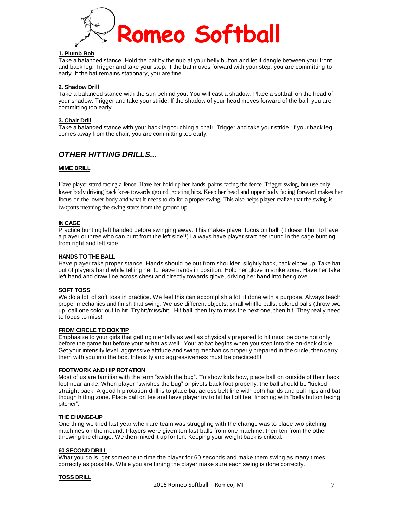

#### **1. Plumb Bob**

Take a balanced stance. Hold the bat by the nub at your belly button and let it dangle between your front and back leg. Trigger and take your step. If the bat moves forward with your step, you are committing to early. If the bat remains stationary, you are fine.

#### **2. Shadow Drill**

Take a balanced stance with the sun behind you. You will cast a shadow. Place a softball on the head of your shadow. Trigger and take your stride. If the shadow of your head moves forward of the ball, you are committing too early.

#### **3. Chair Drill**

Take a balanced stance with your back leg touching a chair. Trigger and take your stride. If your back leg comes away from the chair, you are committing too early.

#### *OTHER HITTING DRILLS...*

#### **MIME DRILL**

Have player stand facing a fence. Have her hold up her hands, palms facing the fence. Trigger swing, but use only lower body driving back knee towards ground, rotating hips. Keep her head and upper body facing forward makes her focus on the lower body and what it needs to do for a proper swing. This also helps player realize that the swing is twoparts meaning the swing starts from the ground up.

#### **IN CAGE**

Practice bunting left handed before swinging away. This makes player focus on ball. (It doesn't hurt to have a player or three who can bunt from the left side!!) I always have player start her round in the cage bunting from right and left side.

#### **HANDS TO THE BALL**

Have player take proper stance. Hands should be out from shoulder, slightly back, back elbow up. Take bat out of players hand while telling her to leave hands in position. Hold her glove in strike zone. Have her take left hand and draw line across chest and directly towards glove, driving her hand into her glove.

#### **SOFT TOSS**

We do a lot of soft toss in practice. We feel this can accomplish a lot if done with a purpose. Always teach proper mechanics and finish that swing. We use different objects, small whiffle balls, colored balls (throw two up, call one color out to hit. Try hit/miss/hit. Hit ball, then try to miss the next one, then hit. They really need to focus to miss!

#### **FROM CIRCLE TO BOX TIP**

Emphasize to your girls that getting mentally as well as physically prepared to hit must be done not only before the game but before your at-bat as well. Your at-bat begins when you step into the on-deck circle. Get your intensity level, aggressive attitude and swing mechanics properly prepared in the circle, then carry them with you into the box. Intensity and aggressiveness must be practiced!!!

#### **FOOTWORK AND HIP ROTATION**

Most of us are familiar with the term "swish the bug". To show kids how, place ball on outside of their back foot near ankle. When player "swishes the bug" or pivots back foot properly, the ball should be "kicked straight back. A good hip rotation drill is to place bat across belt line with both hands and pull hips and bat though hitting zone. Place ball on tee and have player try to hit ball off tee, finishing with "belly button facing pitcher".

#### **THE CHANGE-UP**

One thing we tried last year when are team was struggling with the change was to place two pitching machines on the mound. Players were given ten fast balls from one machine, then ten from the other throwing the change. We then mixed it up for ten. Keeping your weight back is critical.

#### **60 SECOND DRILL**

What you do is, get someone to time the player for 60 seconds and make them swing as many times correctly as possible. While you are timing the player make sure each swing is done correctly.

#### **TOSS DRILL**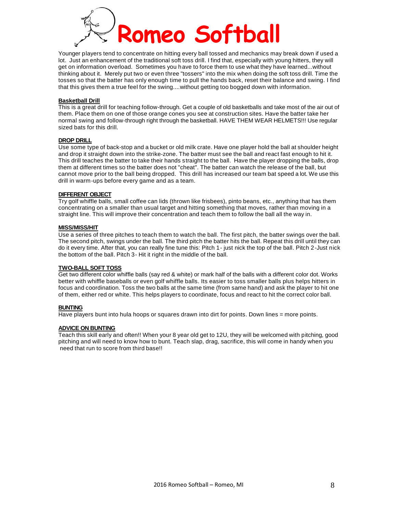

Younger players tend to concentrate on hitting every ball tossed and mechanics may break down if used a lot. Just an enhancement of the traditional soft toss drill. I find that, especially with young hitters, they will get on information overload. Sometimes you have to force them to use what they have learned...without thinking about it. Merely put two or even three "tossers" into the mix when doing the soft toss drill. Time the tosses so that the batter has only enough time to pull the hands back, reset their balance and swing. I find that this gives them a true feel for the swing....without getting too bogged down with information.

#### **Basketball Drill**

This is a great drill for teaching follow-through. Get a couple of old basketballs and take most of the air out of them. Place them on one of those orange cones you see at construction sites. Have the batter take her normal swing and follow-through right through the basketball. HAVE THEM WEAR HELMETS!!! Use regular sized bats for this drill.

#### **DROP DRILL**

Use some type of back-stop and a bucket or old milk crate. Have one player hold the ball at shoulder height and drop it straight down into the strike-zone. The batter must see the ball and react fast enough to hit it. This drill teaches the batter to take their hands straight to the ball. Have the player dropping the balls, drop them at different times so the batter does not "cheat". The batter can watch the release of the ball, but cannot move prior to the ball being dropped. This drill has increased our team bat speed a lot. We use this drill in warm-ups before every game and as a team.

#### **DIFFERENT OBJECT**

Try golf whiffle balls, small coffee can lids (thrown like frisbees), pinto beans, etc., anything that has them concentrating on a smaller than usual target and hitting something that moves, rather than moving in a straight line. This will improve their concentration and teach them to follow the ball all the way in.

#### **MISS/MISS/HIT**

Use a series of three pitches to teach them to watch the ball. The first pitch, the batter swings over the ball. The second pitch, swings under the ball. The third pitch the batter hits the ball. Repeat this drill until they can do it every time. After that, you can really fine tune this: Pitch 1- just nick the top of the ball. Pitch 2-Just nick the bottom of the ball. Pitch 3- Hit it right in the middle of the ball.

#### **TWO-BALL SOFT TOSS**

Get two different color whiffle balls (say red & white) or mark half of the balls with a different color dot. Works better with whiffle baseballs or even golf whiffle balls. Its easier to toss smaller balls plus helps hitters in focus and coordination. Toss the two balls at the same time (from same hand) and ask the player to hit one of them, either red or white. This helps players to coordinate, focus and react to hit the correct color ball.

#### **BUNTING**

Have players bunt into hula hoops or squares drawn into dirt for points. Down lines = more points.

#### **ADVICE ON BUNTING**

Teach this skill early and often!! When your 8 year old get to 12U, they will be welcomed with pitching, good pitching and will need to know how to bunt. Teach slap, drag, sacrifice, this will come in handy when you need that run to score from third base!!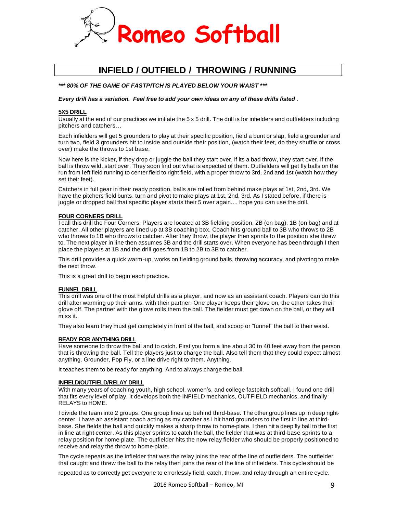

## **INFIELD / OUTFIELD / THROWING / RUNNING**

#### *\*\*\* 80% OF THE GAME OF FASTPITCH IS PLAYED BELOW YOUR WAIST \*\*\**

Every drill has a variation. Feel free to add your own ideas on any of these drills listed.

#### **5X5 DRILL**

Usually at the end of our practices we initiate the 5 x 5 drill. The drill is for infielders and outfielders including pitchers and catchers…

Each infielders will get 5 grounders to play at their specific position, field a bunt or slap, field a grounder and turn two, field 3 grounders hit to inside and outside their position, (watch their feet, do they shuffle or cross over) make the throws to 1st base.

Now here is the kicker, if they drop or juggle the ball they start over, if its a bad throw, they start over. If the ball is throw wild, start over. They soon find out what is expected of them. Outfielders will get fly balls on the run from left field running to center field to right field, with a proper throw to 3rd, 2nd and 1st (watch how they set their feet).

Catchers in full gear in their ready position, balls are rolled from behind make plays at 1st, 2nd, 3rd. We have the pitchers field bunts, turn and pivot to make plays at 1st, 2nd, 3rd. As I stated before, if there is juggle or dropped ball that specific player starts their 5 over again.... hope you can use the drill.

#### **FOUR CORNERS DRILL**

I call this drill the Four Corners. Players are located at 3B fielding position, 2B (on bag), 1B (on bag) and at catcher. All other players are lined up at 3B coaching box. Coach hits ground ball to 3B who throws to 2B who throws to 1B who throws to catcher. After they throw, the player then sprints to the position she threw to. The next player in line then assumes 3B and the drill starts over. When everyone has been through I then place the players at 1B and the drill goes from 1B to 2B to 3B to catcher.

This drill provides a quick warm-up, works on fielding ground balls, throwing accuracy, and pivoting to make the next throw.

This is a great drill to begin each practice.

#### **FUNNEL DRILL**

This drill was one of the most helpful drills as a player, and now as an assistant coach. Players can do this drill after warming up their arms, with their partner. One player keeps their glove on, the other takes their glove off. The partner with the glove rolls them the ball. The fielder must get down on the ball, or they will miss it.

They also learn they must get completely in front of the ball, and scoop or "funnel" the ball to their waist.

#### **READY FOR ANYTHING DRILL**

Have someone to throw the ball and to catch. First you form a line about 30 to 40 feet away from the person that is throwing the ball. Tell the players just to charge the ball. Also tell them that they could expect almost anything. Grounder, Pop Fly, or a line drive right to them. Anything.

It teaches them to be ready for anything. And to always charge the ball.

#### **INFIELD/OUTFIELD/RELAY DRILL**

With many years of coaching youth, high school, women's, and college fastpitch softball, I found one drill that fits every level of play. It develops both the INFIELD mechanics, OUTFIELD mechanics, and finally RELAYS to HOME.

I divide the team into 2 groups. One group lines up behind third-base. The other group lines up in deep rightcenter. I have an assistant coach acting as my catcher as I hit hard grounders to the first in line at thirdbase. She fields the ball and quickly makes a sharp throw to home-plate. I then hit a deep fly ball to the first in line at right-center. As this player sprints to catch the ball, the fielder that was at third-base sprints to a relay position for home-plate. The outfielder hits the now relay fielder who should be properly positioned to receive and relay the throw to home-plate.

The cycle repeats as the infielder that was the relay joins the rear of the line of outfielders. The outfielder that caught and threw the ball to the relay then joins the rear of the line of infielders. This cycle should be

repeated as to correctly get everyone to errorlessly field, catch, throw, and relay through an entire cycle.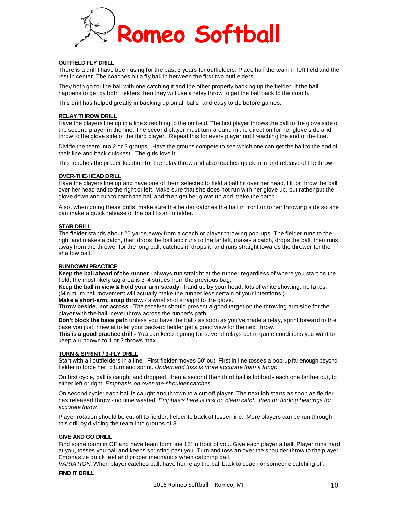

#### **OUTFIELD FLY DRILL**

There is a drill I have been using for the past 3 years for outfielders. Place half the team in left field and the rest in center. The coaches hit a fly ball in between the first two outfielders.

They both go for the ball with one catching it and the other properly backing up the fielder. If the ball happens to get by both fielders then they will use a relay throw to get the ball back to the coach.

This drill has helped greatly in backing up on all balls, and easy to do before games.

#### **RELAY THROW DRILL**

Have the players line up in a line stretching to the outfield. The first player throws the ball to the glove side of the second player in the line. The second player must turn around in the direction for her glove side and throw to the glove side of the third player. Repeat this for every player until reaching the end of the line.

Divide the team into 2 or 3 groups. Have the groups compete to see which one can get the ball to the end of their line and back quickest. The girls love it.

This teaches the proper location for the relay throw and also teaches quick turn and release of the throw.

#### **OVER-THE-HEAD DRILL**

Have the players line up and have one of them selected to field a ball hit over her head. Hit or throw the ball over her head and to the right or left. Make sure that she does not run with her glove up, but rather put the glove down and run to catch the ball and then get her glove up and make the catch.

Also, when doing these drills, make sure the fielder catches the ball in front or to her throwing side so she can make a quick release of the ball to an infielder.

#### **STAR DRILL**

The fielder stands about 20 yards away from a coach or player throwing pop-ups. The fielder runs to the right and makes a catch, then drops the ball and runs to the far left, makes a catch, drops the ball, then runs away from the thrower for the long ball, catches it, drops it, and runs straight towards the thrower for the shallow ball.

#### **RUNDOWN PRACTICE**

**Keep the ball ahead of the runner** - always run straight at the runner regardless of where you start on the field, the most likely tag area is 3-4 strides from the previous bag.

**Keep the ball in view & hold your arm steady** - hand up by your head, lots of white showing, no fakes. (Minimum ball movement will actually make the runner less certain of your intentions.).

**Make a short-arm, snap throw.** - a wrist shot straight to the glove.

**Throw beside, not across** - The receiver should present a good target on the throwing arm side for the player with the ball, never throw across the runner's path.

**Don't block the base path** unless you have the ball - as soon as you've made a relay, sprint forward to the base you just threw at to let your back-up fielder get a good view for the next throw.

**This is a good practice drill -** You can keep it going for several relays but in game conditions you want to keep a rundown to 1 or 2 throws max.

#### **TURN & SPRINT / 3-FLY DRILL**

Start with all outfielders in a line. First fielder moves 50' out. First in line tosses a pop-up far enough beyond fielder to force her to turn and sprint. *Underhand toss is more accurate than a fungo.*

On first cycle, ball is caught and dropped, then a second then third ball is lobbed - each one farther out, to either left or right. *Emphasis on over-the-shoulder catches.*

On second cycle: each ball is caught and thrown to a cut-off player. The next lob starts as soon as fielder has released throw - no time wasted. *Emphasis here is first on clean catch, then on finding bearings for accurate throw.*

Player rotation should be cut-off to fielder, fielder to back of tosser line. More players can be run through this drill by dividing the team into groups of 3.

#### **GIVE AND GO DRILL**

Find some room in OF and have team form line 15' in front of you. Give each player a ball. Player runs hard at you, tosses you ball and keeps sprinting past you. Turn and toss an over the shoulder throw to the player. Emphasize quick feet and proper mechanics when catching ball.

*VARIATION:* When player catches ball, have her relay the ball back to coach or someone catching off.

#### **FIND IT DRILL**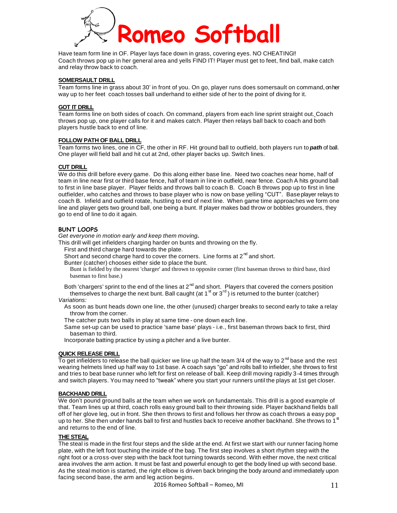

Have team form line in OF. Player lays face down in grass, covering eyes. NO CHEATING!! Coach throws pop up in her general area and yells FIND IT! Player must get to feet, find ball, make catch and relay throw back to coach.

#### **SOMERSAULT DRILL**

Team forms line in grass about 30' in front of you. On go, player runs does somersault on command,onher way up to her feet coach tosses ball underhand to either side of her to the point of diving for it.

#### **GOT IT DRILL**

Team forms line on both sides of coach. On command, players from each line sprint straight out. Coach throws pop up, one player calls for it and makes catch. Player then relays ball back to coach and both players hustle back to end of line.

#### **FOLLOW PATH OF BALL DRILL**

Team forms two lines, one in CF, the other in RF. Hit ground ball to outfield, both players run to *path* of ball. One player will field ball and hit cut at 2nd, other player backs up. Switch lines.

#### **CUT DRILL**

We do this drill before every game. Do this along either base line. Need two coaches near home, half of team in line near first or third base fence, half of team in l ine in outfield, near fence. Coach A hits ground ball to first in line base player. Player fields and throws ball to coach B. Coach B throws pop up to first in line outfielder, who catches and throws to base player who is now on base yelling "CUT". Base player relays to coach B. Infield and outfield rotate, hustling to end of next line. When game time approaches we form one line and player gets two ground ball, one being a bunt. If player makes bad throw or bobbles grounders, they go to end of line to do it again.

#### **BUNT LOOPS**

*Get everyone in motion early and keep them moving.*

This drill will get infielders charging harder on bunts and throwing on the fly.

First and third charge hard towards the plate.

Short and second charge hard to cover the corners. Line forms at  $2^{nd}$  and short.

Bunter (catcher) chooses either side to place the bunt.

Bunt is fielded by the nearest 'charger' and thrown to opposite corner (first baseman throws to third base, third baseman to first base.)

Both 'chargers' sprint to the end of the lines at 2<sup>nd</sup> and short. Players that covered the corners position themselves to charge the next bunt. Ball caught (at 1  $^{\rm st}$  or 3<sup>rd</sup> ) is returned to the bunter (catcher)

*Variations:*

As soon as bunt heads down one line, the other (unused) charger breaks to second early to take a relay throw from the corner.

The catcher puts two balls in play at same time - one down each line.

Same set-up can be used to practice 'same base' plays - i.e., first baseman throws back to first, third baseman to third.

Incorporate batting practice by using a pitcher and a live bunter.

#### **QUICK RELEASE DRILL**

To get infielders to release the ball quicker we line up half the team 3/4 of the way to 2<sup>nd</sup> base and the rest wearing helmets lined up half way to 1st base. A coach says "go" and rolls ball to infielder, she throws to first and tries to beat base runner who left for first on release of ball. Keep drill moving rapidly 3-4 times through and switch players. You may need to "tweak" where you start your runners until the plays at 1st get closer.

#### **BACKHAND DRILL**

We don't pound ground balls at the team when we work on fundamentals. This drill is a good example of that. Team lines up at third, coach rolls easy ground ball to their throwing side. Player backhand fields ball off of her glove leg, out in front. She then throws to first and follows her throw as coach throws a easy pop<br>up to her. She than under hande hall to first and bustles hack to researce another hackbord. She throws to 1<sup>st</sup> up to her. She then under hands ball to first and hustles back to receive another backhand. She throws to 1 and returns to the end of line.

#### **THE STEAL**

The steal is made in the first four steps and the slide at the end. At first we start with our runner facing home plate, with the left foot touching the inside of the bag. The first step involves a short rhythm step with the right foot or a cross-over step with the back foot turning towards second. With either move, the next critical area involves the arm action. It must be fast and powerful enough to get the body lined up with second base. As the steal motion is started, the right elbow is driven back bringing the body around and immediately upon facing second base, the arm and leg action begins.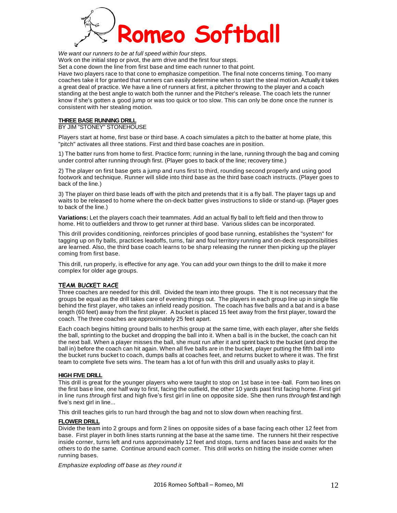

*We want our runners to be at full speed within four steps.*

Work on the initial step or pivot, the arm drive and the first four steps.

Set a cone down the line from first base and time each runner to that point.

Have two players race to that cone to emphasize competition. The final note concerns timing. Too many coaches take it for granted that runners can easily determine when to start the steal motion. Actually it takes a great deal of practice. We have a line of runners at first, a pitcher throwing to the player and a coach standing at the best angle to watch both the runner and the Pitcher's release. The coach lets the runner know if she's gotten a good jump or was too quick or too slow. This can only be done once the runner is consistent with her stealing motion.

#### **THREE BASE RUNNING DRILL**

BY JIM "STONEY" STONEHOUSE

Players start at home, first base or third base. A coach simulates a pitch to the batter at home plate, this "pitch" activates all three stations. First and third base coaches are in position.

1) The batter runs from home to first. Practice form; running in the lane, running through the bag and coming under control after running through first. (Player goes to back of the line; recovery time.)

2) The player on first base gets a jump and runs first to third, rounding second properly and using good footwork and technique. Runner will slide into third base as the third base coach instructs. (Player goes to back of the line.)

3) The player on third base leads off with the pitch and pretends that it is a fly ball. The player tags up and waits to be released to home where the on-deck batter gives instructions to slide or stand-up. (Player goes to back of the line.)

**Variations:** Let the players coach their teammates. Add an actual fly ball to left field and then throw to home. Hit to outfielders and throw to get runner at third base. Various slides can be incorporated.

This drill provides conditioning, reinforces principles of good base running, establishes the "system" for tagging up on fly balls, practices leadoffs, turns, fair and foul territory running and on-deck responsibilities are learned. Also, the third base coach learns to be sharp releasing the runner then picking up the player coming from first base.

This drill, run properly, is effective for any age. You can add your own things to the drill to make it more complex for older age groups.

#### **TEAM BUCKET RACE**

Three coaches are needed for this drill. Divided the team into three groups. The It is not necessary that the groups be equal as the drill takes care of evening things out. The players in each group line up in single file behind the first player, who takes an infield ready position. The coach has five balls and a bat and is a base length (60 feet) away from the first player. A bucket is placed 15 feet away from the first player, toward the coach. The three coaches are approximately 25 feet apart.

Each coach begins hitting ground balls to her/his group at the same time, with each player, after she fields the ball, sprinting to the bucket and dropping the ball into it. When a ball is in the bucket, the coach can hit the next ball. When a player misses the ball, she must run after it and sprint back to the bucket (and drop the ball in) before the coach can hit again. When all five balls are in the bucket, player putting the fifth ball into the bucket runs bucket to coach, dumps balls at coaches feet, and returns bucket to where it was. The first team to complete five sets wins. The team has a lot of fun with this drill and usually asks to play it.

#### **HIGH FIVE DRILL**

This drill is great for the younger players who were taught to stop on 1st base in tee -ball. Form two lines on the first base line, one half way to first, facing the outfield, the other 10 yards past first facing home. First girl in line runs *through* first and high five's first girl in line on opposite side. She then runs *through* first and high five's next girl in line...

This drill teaches girls to run hard through the bag and not to slow down when reaching first.

#### **FLOWER DRILL**

Divide the team into 2 groups and form 2 lines on opposite sides of a base facing each other 12 feet from base. First player in both lines starts running at the base at the same time. The runners hit their respective inside corner, turns left and runs approximately 12 feet and stops, turns and faces base and waits for the others to do the same. Continue around each corner. This drill works on hitting the inside corner when running bases.

*Emphasize exploding off base as they round it*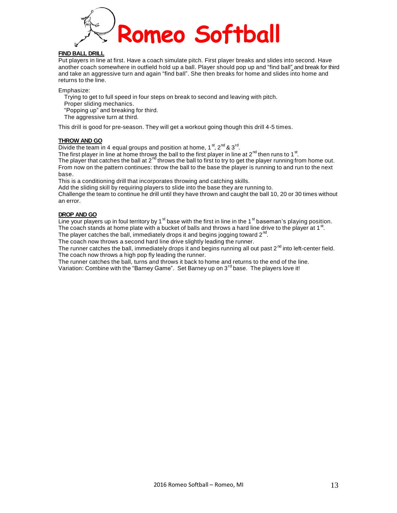

#### **FIND BALL DRILL**

Put players in line at first. Have a coach simulate pitch. First player breaks and slides into second. Have another coach somewhere in outfield hold up a ball. Player should pop up and "find ball" and break for third and take an aggressive turn and again "find ball". She then breaks for home and slides into home and returns to the line.

Emphasize:

Trying to get to full speed in four steps on break to second and leaving with pitch.

Proper sliding mechanics.

"Popping up" and breaking for third.

The aggressive turn at third.

This drill is good for pre-season. They will get a workout going though this drill 4-5 times.

#### **THROW AND GO**

Divide the team in 4 equal groups and position at home, 1<sup>st</sup>, 2<sup>nd</sup> & 3<sup>rd</sup>.

The first player in line at home throws the ball to the first player in line at 2<sup>nd</sup> then runs to 1<sup>st</sup>. The player that catches the ball at  $2^{nd}$  throws the ball to first to try to get the player running from home out. From now on the pattern continues: throw the ball to the base the player is running to and run to the next base.

This is a conditioning drill that incorporates throwing and catching skills.

Add the sliding skill by requiring players to slide into the base they are running to.

Challenge the team to continue he drill until they have thrown and caught the ball 10, 20 or 30 times without an error.

#### **DROP AND GO**

Line your players up in foul territory by 1<sup>st</sup> base with the first in line in the 1<sup>st</sup> baseman's playing position. The coach stands at home plate with a bucket of balls and throws a hard line drive to the player at 1<sup>st</sup>.

The player catches the ball, immediately drops it and begins jogging toward 2<sup>nd</sup>.

The coach now throws a second hard line drive slightly leading the runner.

The runner catches the ball, immediately drops it and begins running all out past 2<sup>nd</sup> into left-center field. The coach now throws a high pop fly leading the runner.

The runner catches the ball, turns and throws it back to home and returns to the end of the line.

Variation: Combine with the "Barney Game". Set Barney up on 3<sup>rd</sup> base. The players love it!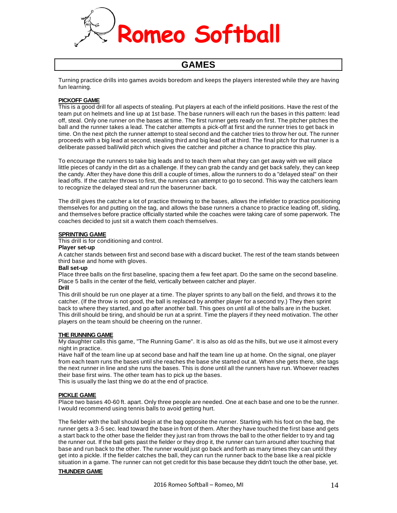

### **GAMES**

Turning practice drills into games avoids boredom and keeps the players interested while they are having fun learning.

#### **PICKOFF GAME**

This is a good drill for all aspects of stealing. Put players at each of the infield positions. Have the rest of the team put on helmets and line up at 1st base. The base runners will each run the bases in this pattern: lead off, steal. Only one runner on the bases at time. The first runner gets ready on first. The pitcher pitches the ball and the runner takes a lead. The catcher attempts a pick-off at first and the runner tries to get back in time. On the next pitch the runner attempt to steal second and the catcher tries to throw her out. The runner proceeds with a big lead at second, stealing third and big lead off at third. The final pitch for that runner is a deliberate passed ball/wild pitch which gives the catcher and pitcher a chance to practice this play.

To encourage the runners to take big leads and to teach them what they can get away with we will place little pieces of candy in the dirt as a challenge. If they can grab the candy and get back safely, they can keep the candy. After they have done this drill a couple of times, allow the runners to do a "delayed steal" on their lead offs. If the catcher throws to first, the runners can attempt to go to second. This way the catchers learn to recognize the delayed steal and run the baserunner back.

The drill gives the catcher a lot of practice throwing to the bases, allows the infielder to practice positioning themselves for and putting on the tag, and allows the base runners a chance to practice leading off, sliding, and themselves before practice officially started while the coaches were taking care of some paperwork. The coaches decided to just sit a watch them coach themselves.

#### **SPRINTING GAME**

This drill is for conditioning and control.

#### **Player set-up**

A catcher stands between first and second base with a discard bucket. The rest of the team stands between third base and home with gloves.

#### **Ball set-up**

Place three balls on the first baseline, spacing them a few feet apart. Do the same on the second baseline. Place 5 balls in the center of the field, vertically between catcher and player.

#### **Drill**

This drill should be run one player at a time. The player sprints to any ball on the field, and throws it to the catcher. (If the throw is not good, the ball is replaced by another player for a second try.) They then sprint back to where they started, and go after another ball. This goes on until all of the balls are in the bucket. This drill should be tiring, and should be run at a sprint. Time the players if they need motivation. The other players on the team should be cheering on the runner.

#### **THE RUNNING GAME**

My daughter calls this game, "The Running Game". It is also as old as the hills, but we use it almost every night in practice.

Have half of the team line up at second base and half the team line up at home. On the signal, one player from each team runs the bases until she reaches the base she started out at. When she gets there, she tags the next runner in line and she runs the bases. This is done until all the runners have run. Whoever reaches their base first wins. The other team has to pick up the bases.

This is usually the last thing we do at the end of practice.

#### **PICKLE GAME**

Place two bases 40-60 ft. apart. Only three people are needed. One at each base and one to be the runner. I would recommend using tennis balls to avoid getting hurt.

The fielder with the ball should begin at the bag opposite the runner. Starting with his foot on the bag, the runner gets a 3-5 sec. lead toward the base in front of them. After they have touched the first base and gets a start back to the other base the fielder they just ran from throws the ball to the other fielder to try and tag the runner out. If the ball gets past the fielder or they drop it, the runner can turn around after touching that base and run back to the other. The runner would just go back and forth as many times they can until they get into a pickle. If the fielder catches the ball, they can run the runner back to the base like a real pickle situation in a game. The runner can not get credit for this base because they didn't touch the other base, yet.

#### **THUNDER GAME**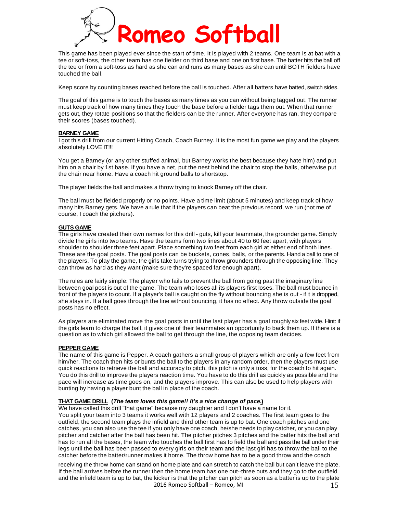

This game has been played ever since the start of time. It is played with 2 teams. One team is at bat with a tee or soft-toss, the other team has one fielder on third base and one on first base. The batter hits the ball off the tee or from a soft-toss as hard as she can and runs as many bases as she can until BOTH fielders have touched the ball.

Keep score by counting bases reached before the ball is touched. After all batters have batted, switch sides.

The goal of this game is to touch the bases as many times as you can without being tagged out. The runner must keep track of how many times they touch the base before a fielder tags them out. When that runner gets out, they rotate positions so that the fielders can be the runner. After everyone has ran, they compare their scores (bases touched).

#### **BARNEY GAME**

I got this drill from our current Hitting Coach, Coach Burney. It is the most fun game we play and the players absolutely LOVE IT!!!

You get a Barney (or any other stuffed animal, but Barney works the best because they hate him) and put him on a chair by 1st base. If you have a net, put the nest behind the chair to stop the balls, otherwise put the chair near home. Have a coach hit ground balls to shortstop.

The player fields the ball and makes a throw trying to knock Barney off the chair.

The ball must be fielded properly or no points. Have a time limit (about 5 minutes) and keep track of how many hits Barney gets. We have a rule that if the players can beat the previous record, we run (not me of course, I coach the pitchers).

#### **GUTS GAME**

The girls have created their own names for this drill - guts, kill your teammate, the grounder game. Simply divide the girls into two teams. Have the teams form two lines about 40 to 60 feet apart, with players shoulder to shoulder three feet apart. Place something two feet from each girl at either end of both lines. These are the goal posts. The goal posts can be buckets, cones, balls, or the parents. Hand a ball to one of the players. To play the game, the girls take turns trying to throw grounders through the opposing line. They can throw as hard as they want (make sure they're spaced far enough apart).

The rules are fairly simple: The player who fails to prevent the ball from going past the imaginary line between goal post is out of the game. The team who loses all its players first loses. The ball must bounce in front of the players to count. If a player's ball is caught on the fly without bouncing she is out - if it is dropped, she stays in. If a ball goes through the line without bouncing, it has no effect. Any throw outside the goal posts has no effect.

As players are eliminated move the goal posts in until the last player has a goal roughly six feet wide. Hint: if the girls learn to charge the ball, it gives one of their teammates an opportunity to back them up. If there is a question as to which girl allowed the ball to get through the line, the opposing team decides.

#### **PEPPER GAME**

The name of this game is Pepper. A coach gathers a small group of players which are only a few feet from him/her. The coach then hits or bunts the ball to the players in any random order, then the players must use quick reactions to retrieve the ball and accuracy to pitch, this pitch is only a toss, for the coach to hit again. You do this drill to improve the players reaction time. You have to do this drill as quickly as possible and the pace will increase as time goes on, and the players improve. This can also be used to help players with bunting by having a player bunt the ball in place of the coach.

#### **THAT GAME DRILL (***The team loves this game!! It's a nice change of pace.***)**

We have called this drill "that game" because my daughter and I don't have a name for it. You split your team into 3 teams it works well with 12 players and 2 coaches. The first team goes to the outfield, the second team plays the infield and third other team is up to bat. One coach pitches and one catches, you can also use the tee if you only have one coach, he/she needs to play catcher, or you can play pitcher and catcher after the ball has been hit. The pitcher pitches 3 pitches and the batter hits the ball and has to run all the bases, the team who touches the ball first has to field the ball and pass the ball under their legs until the ball has been passed to every girls on their team and the last girl has to throw the ball to the catcher before the batter/runner makes it home. The throw home has to be a good throw and the coach

2016 Romeo Softball – Romeo, MI receiving the throw home can stand on home plate and can stretch to catch the ball but can't leave the plate. If the ball arrives before the runner then the home team has one out--three outs and they go to the outfield and the infield team is up to bat, the kicker is that the pitcher can pitch as soon as a batter is up to the plate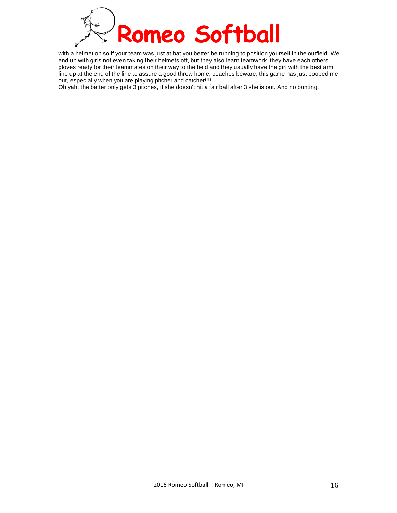

with a helmet on so if your team was just at bat you better be running to position yourself in the outfield. We end up with girls not even taking their helmets off, but they also learn teamwork, they have each others gloves ready for their teammates on their way to the field and they usually have the girl with the best arm line up at the end of the line to assure a good throw home, coaches beware, this game has just pooped me out, especially when you are playing pitcher and catcher!!!!

Oh yah, the batter only gets 3 pitches, if she doesn't hit a fair ball after 3 she is out. And no bunting.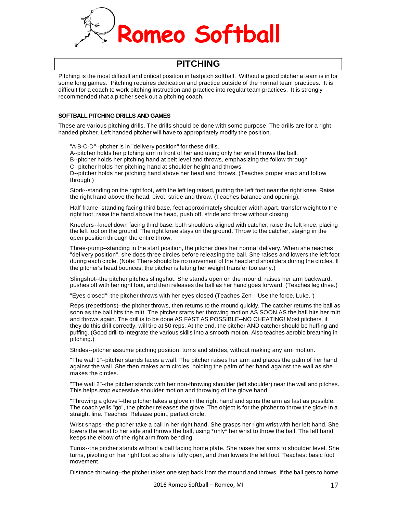

## **PITCHING**

Pitching is the most difficult and critical position in fastpitch softball. Without a good pitcher a team is in for some long games. Pitching requires dedication and practice outside of the normal team practices. It is difficult for a coach to work pitching instruction and practice into regular team practices. It is strongly recommended that a pitcher seek out a pitching coach.

#### **SOFTBALL PITCHING DRILLS AND GAMES**

These are various pitching drills. The drills should be done with some purpose. The drills are for a right handed pitcher. Left handed pitcher will have to appropriately modify the position.

"A-B-C-D"--pitcher is in "delivery position" for these drills.

A--pitcher holds her pitching arm in front of her and using only her wrist throws the ball. B--pitcher holds her pitching hand at belt level and throws, emphasizing the follow through C--pitcher holds her pitching hand at shoulder height and throws

D--pitcher holds her pitching hand above her head and throws. (Teaches proper snap and follow through.)

Stork--standing on the right foot, with the left leg raised, putting the left foot near the right knee. Raise the right hand above the head, pivot, stride and throw. (Teaches balance and opening).

Half frame--standing facing third base, feet approximately shoulder width apart, transfer weight to the right foot, raise the hand above the head, push off, stride and throw without closing

Kneelers--kneel down facing third base, both shoulders aligned with catcher, raise the left knee, placing the left foot on the ground. The right knee stays on the ground. Throw to the catcher, staying in the open position through the entire throw.

Three-pump--standing in the start position, the pitcher does her normal delivery. When she reaches "delivery position", she does three circles before releasing the ball. She raises and lowers the left foot during each circle. (Note: There should be no movement of the head and shoulders during the circles. If the pitcher's head bounces, the pitcher is letting her weight transfer too early.)

Slingshot--the pitcher pitches slingshot. She stands open on the mound, raises her arm backward, pushes off with her right foot, and then releases the ball as her hand goes forward. (Teaches leg drive.)

"Eyes closed"--the pitcher throws with her eyes closed (Teaches Zen--"Use the force, Luke.")

Reps (repetitions)--the pitcher throws, then returns to the mound quickly. The catcher returns the ball as soon as the ball hits the mitt. The pitcher starts her throwing motion AS SOON AS the ball hits her mitt and throws again. The drill is to be done AS FAST AS POSSIBLE--NO CHEATING! Most pitchers, if they do this drill correctly, will tire at 50 reps. At the end, the pitcher AND catcher should be huffing and puffing. (Good drill to integrate the various skills into a smooth motion. Also teaches aerobic breathing in pitching.)

Strides--pitcher assume pitching position, turns and strides, without making any arm motion.

"The wall 1"--pitcher stands faces a wall. The pitcher raises her arm and places the palm of her hand against the wall. She then makes arm circles, holding the palm of her hand against the wall as she makes the circles.

"The wall 2"--the pitcher stands with her non-throwing shoulder (left shoulder) near the wall and pitches. This helps stop excessive shoulder motion and throwing of the glove hand.

"Throwing a glove"--the pitcher takes a glove in the right hand and spins the arm as fast as possible. The coach yells "go", the pitcher releases the glove. The object is for the pitcher to throw the glove in a straight line. Teaches: Release point, perfect circle.

Wrist snaps--the pitcher take a ball in her right hand. She grasps her right wrist with her left hand. She lowers the wrist to her side and throws the ball, using \*only\* her wrist to throw the ball. The left hand keeps the elbow of the right arm from bending.

Turns--the pitcher stands without a ball facing home plate. She raises her arms to shoulder level. She turns, pivoting on her right foot so she is fully open, and then lowers the left foot. Teaches: basic foot movement.

Distance throwing--the pitcher takes one step back from the mound and throws. If the ball gets to home